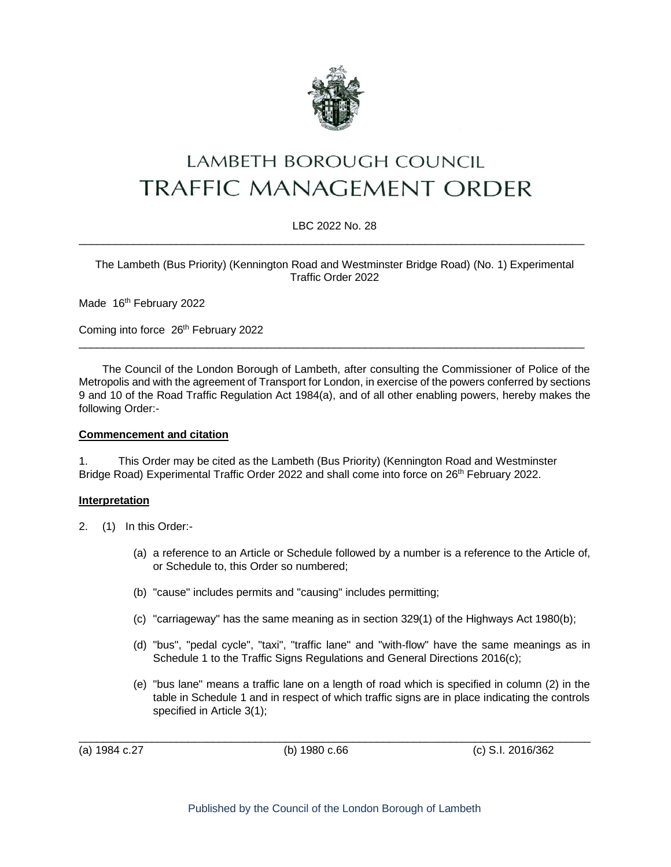

# **LAMBETH BOROUGH COUNCIL TRAFFIC MANAGEMENT ORDER**

#### LBC 2022 No. 28 \_\_\_\_\_\_\_\_\_\_\_\_\_\_\_\_\_\_\_\_\_\_\_\_\_\_\_\_\_\_\_\_\_\_\_\_\_\_\_\_\_\_\_\_\_\_\_\_\_\_\_\_\_\_\_\_\_\_\_\_\_\_\_\_\_\_\_\_\_\_\_\_\_\_\_\_\_\_\_\_\_\_\_

#### The Lambeth (Bus Priority) (Kennington Road and Westminster Bridge Road) (No. 1) Experimental Traffic Order 2022

Made 16th February 2022

Coming into force 26<sup>th</sup> February 2022

The Council of the London Borough of Lambeth, after consulting the Commissioner of Police of the Metropolis and with the agreement of Transport for London, in exercise of the powers conferred by sections 9 and 10 of the Road Traffic Regulation Act 1984(a), and of all other enabling powers, hereby makes the following Order:-

 $\_$  ,  $\_$  ,  $\_$  ,  $\_$  ,  $\_$  ,  $\_$  ,  $\_$  ,  $\_$  ,  $\_$  ,  $\_$  ,  $\_$  ,  $\_$  ,  $\_$  ,  $\_$  ,  $\_$  ,  $\_$  ,  $\_$  ,  $\_$  ,  $\_$  ,  $\_$  ,  $\_$  ,  $\_$  ,  $\_$  ,  $\_$  ,  $\_$  ,  $\_$  ,  $\_$  ,  $\_$  ,  $\_$  ,  $\_$  ,  $\_$  ,  $\_$  ,  $\_$  ,  $\_$  ,  $\_$  ,  $\_$  ,  $\_$  ,

#### **Commencement and citation**

1. This Order may be cited as the Lambeth (Bus Priority) (Kennington Road and Westminster Bridge Road) Experimental Traffic Order 2022 and shall come into force on 26<sup>th</sup> February 2022.

## **Interpretation**

- 2. (1) In this Order:-
	- (a) a reference to an Article or Schedule followed by a number is a reference to the Article of, or Schedule to, this Order so numbered;
	- (b) "cause" includes permits and "causing" includes permitting;
	- (c) "carriageway" has the same meaning as in section 329(1) of the Highways Act 1980(b);
	- (d) "bus", "pedal cycle", "taxi", "traffic lane" and "with-flow" have the same meanings as in Schedule 1 to the Traffic Signs Regulations and General Directions 2016(c);
	- (e) "bus lane" means a traffic lane on a length of road which is specified in column (2) in the table in Schedule 1 and in respect of which traffic signs are in place indicating the controls specified in Article 3(1);

(a) 1984 c.27 (b) 1980 c.66 (c) S.I. 2016/362

 $\_$  ,  $\_$  ,  $\_$  ,  $\_$  ,  $\_$  ,  $\_$  ,  $\_$  ,  $\_$  ,  $\_$  ,  $\_$  ,  $\_$  ,  $\_$  ,  $\_$  ,  $\_$  ,  $\_$  ,  $\_$  ,  $\_$  ,  $\_$  ,  $\_$  ,  $\_$  ,  $\_$  ,  $\_$  ,  $\_$  ,  $\_$  ,  $\_$  ,  $\_$  ,  $\_$  ,  $\_$  ,  $\_$  ,  $\_$  ,  $\_$  ,  $\_$  ,  $\_$  ,  $\_$  ,  $\_$  ,  $\_$  ,  $\_$  ,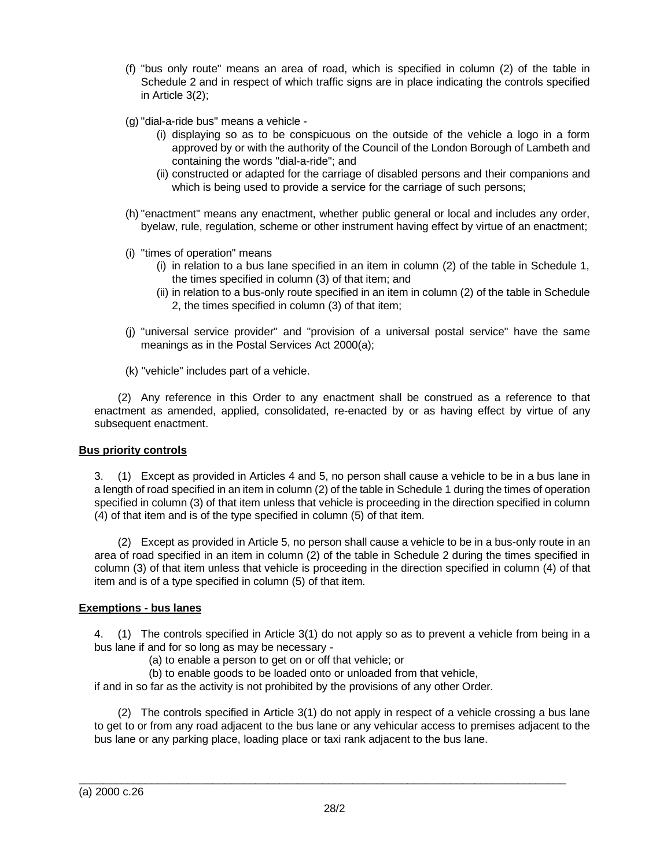- (f) "bus only route" means an area of road, which is specified in column (2) of the table in Schedule 2 and in respect of which traffic signs are in place indicating the controls specified in Article 3(2);
- (g) "dial-a-ride bus" means a vehicle
	- (i) displaying so as to be conspicuous on the outside of the vehicle a logo in a form approved by or with the authority of the Council of the London Borough of Lambeth and containing the words "dial-a-ride"; and
	- (ii) constructed or adapted for the carriage of disabled persons and their companions and which is being used to provide a service for the carriage of such persons;
- (h) "enactment" means any enactment, whether public general or local and includes any order, byelaw, rule, regulation, scheme or other instrument having effect by virtue of an enactment;
- (i) "times of operation" means
	- (i) in relation to a bus lane specified in an item in column (2) of the table in Schedule 1, the times specified in column (3) of that item; and
	- (ii) in relation to a bus-only route specified in an item in column (2) of the table in Schedule 2, the times specified in column (3) of that item;
- (j) "universal service provider" and "provision of a universal postal service" have the same meanings as in the Postal Services Act 2000(a);
- (k) "vehicle" includes part of a vehicle.

(2) Any reference in this Order to any enactment shall be construed as a reference to that enactment as amended, applied, consolidated, re-enacted by or as having effect by virtue of any subsequent enactment.

#### **Bus priority controls**

3. (1) Except as provided in Articles 4 and 5, no person shall cause a vehicle to be in a bus lane in a length of road specified in an item in column (2) of the table in Schedule 1 during the times of operation specified in column (3) of that item unless that vehicle is proceeding in the direction specified in column (4) of that item and is of the type specified in column (5) of that item.

(2) Except as provided in Article 5, no person shall cause a vehicle to be in a bus-only route in an area of road specified in an item in column (2) of the table in Schedule 2 during the times specified in column (3) of that item unless that vehicle is proceeding in the direction specified in column (4) of that item and is of a type specified in column (5) of that item.

## **Exemptions - bus lanes**

4. (1) The controls specified in Article 3(1) do not apply so as to prevent a vehicle from being in a bus lane if and for so long as may be necessary -

- (a) to enable a person to get on or off that vehicle; or
- (b) to enable goods to be loaded onto or unloaded from that vehicle,

if and in so far as the activity is not prohibited by the provisions of any other Order.

(2) The controls specified in Article 3(1) do not apply in respect of a vehicle crossing a bus lane to get to or from any road adjacent to the bus lane or any vehicular access to premises adjacent to the bus lane or any parking place, loading place or taxi rank adjacent to the bus lane.

\_\_\_\_\_\_\_\_\_\_\_\_\_\_\_\_\_\_\_\_\_\_\_\_\_\_\_\_\_\_\_\_\_\_\_\_\_\_\_\_\_\_\_\_\_\_\_\_\_\_\_\_\_\_\_\_\_\_\_\_\_\_\_\_\_\_\_\_\_\_\_\_\_\_\_\_\_\_\_\_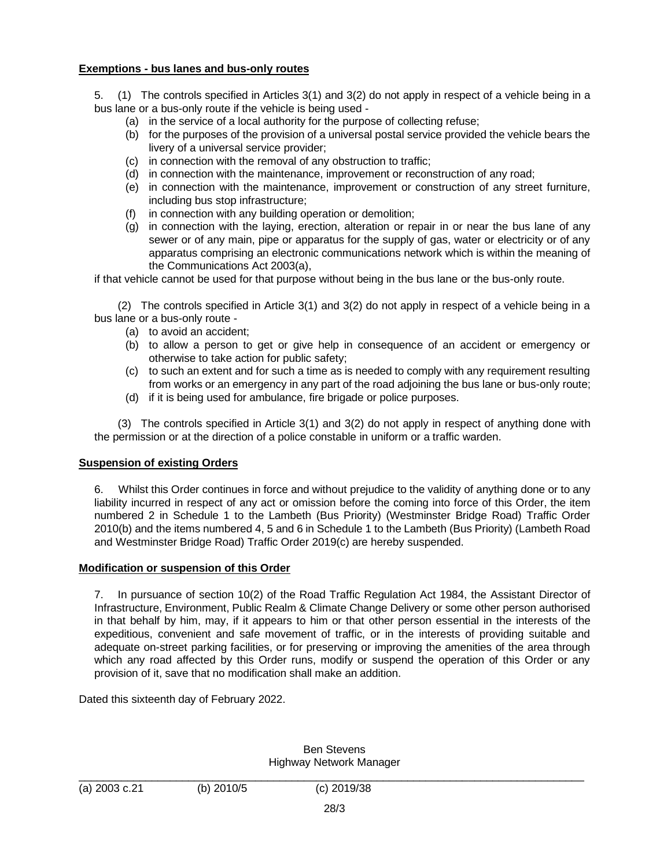## **Exemptions - bus lanes and bus-only routes**

5. (1) The controls specified in Articles 3(1) and 3(2) do not apply in respect of a vehicle being in a bus lane or a bus-only route if the vehicle is being used -

- (a) in the service of a local authority for the purpose of collecting refuse;
- (b) for the purposes of the provision of a universal postal service provided the vehicle bears the livery of a universal service provider;
- (c) in connection with the removal of any obstruction to traffic;
- (d) in connection with the maintenance, improvement or reconstruction of any road;
- (e) in connection with the maintenance, improvement or construction of any street furniture, including bus stop infrastructure;
- (f) in connection with any building operation or demolition;
- (g) in connection with the laying, erection, alteration or repair in or near the bus lane of any sewer or of any main, pipe or apparatus for the supply of gas, water or electricity or of any apparatus comprising an electronic communications network which is within the meaning of the Communications Act 2003(a),

if that vehicle cannot be used for that purpose without being in the bus lane or the bus-only route.

(2) The controls specified in Article 3(1) and 3(2) do not apply in respect of a vehicle being in a bus lane or a bus-only route -

- (a) to avoid an accident;
- (b) to allow a person to get or give help in consequence of an accident or emergency or otherwise to take action for public safety;
- (c) to such an extent and for such a time as is needed to comply with any requirement resulting from works or an emergency in any part of the road adjoining the bus lane or bus-only route;
- (d) if it is being used for ambulance, fire brigade or police purposes.

(3) The controls specified in Article 3(1) and 3(2) do not apply in respect of anything done with the permission or at the direction of a police constable in uniform or a traffic warden.

## **Suspension of existing Orders**

6. Whilst this Order continues in force and without prejudice to the validity of anything done or to any liability incurred in respect of any act or omission before the coming into force of this Order, the item numbered 2 in Schedule 1 to the Lambeth (Bus Priority) (Westminster Bridge Road) Traffic Order 2010(b) and the items numbered 4, 5 and 6 in Schedule 1 to the Lambeth (Bus Priority) (Lambeth Road and Westminster Bridge Road) Traffic Order 2019(c) are hereby suspended.

## **Modification or suspension of this Order**

7. In pursuance of section 10(2) of the Road Traffic Regulation Act 1984, the Assistant Director of Infrastructure, Environment, Public Realm & Climate Change Delivery or some other person authorised in that behalf by him, may, if it appears to him or that other person essential in the interests of the expeditious, convenient and safe movement of traffic, or in the interests of providing suitable and adequate on-street parking facilities, or for preserving or improving the amenities of the area through which any road affected by this Order runs, modify or suspend the operation of this Order or any provision of it, save that no modification shall make an addition.

Dated this sixteenth day of February 2022.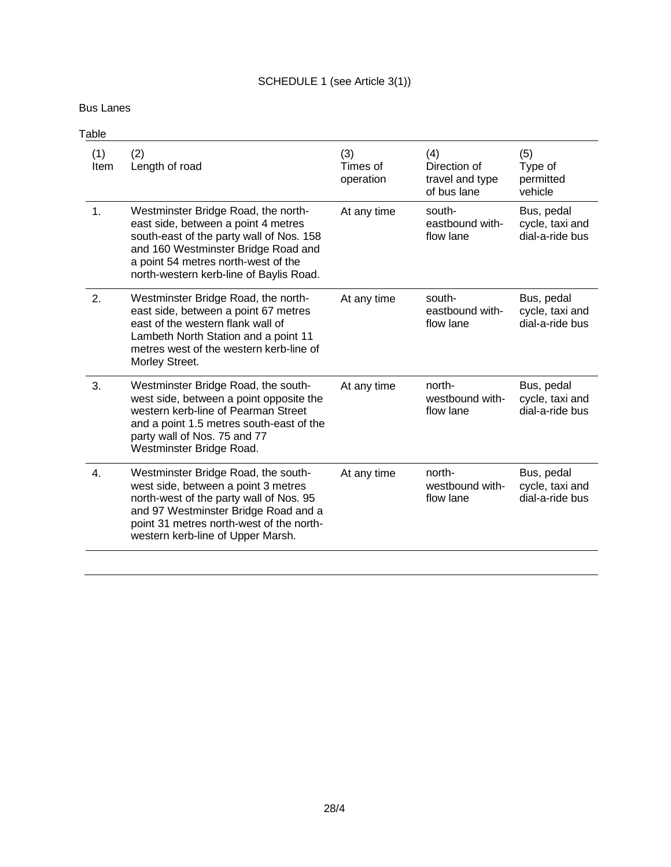# SCHEDULE 1 (see Article 3(1))

Bus Lanes

| Table       |                                                                                                                                                                                                                                                 |                              |                                                       |                                                  |  |  |
|-------------|-------------------------------------------------------------------------------------------------------------------------------------------------------------------------------------------------------------------------------------------------|------------------------------|-------------------------------------------------------|--------------------------------------------------|--|--|
| (1)<br>Item | (2)<br>Length of road                                                                                                                                                                                                                           | (3)<br>Times of<br>operation | (4)<br>Direction of<br>travel and type<br>of bus lane | (5)<br>Type of<br>permitted<br>vehicle           |  |  |
| 1.          | Westminster Bridge Road, the north-<br>east side, between a point 4 metres<br>south-east of the party wall of Nos. 158<br>and 160 Westminster Bridge Road and<br>a point 54 metres north-west of the<br>north-western kerb-line of Baylis Road. | At any time                  | south-<br>eastbound with-<br>flow lane                | Bus, pedal<br>cycle, taxi and<br>dial-a-ride bus |  |  |
| 2.          | Westminster Bridge Road, the north-<br>east side, between a point 67 metres<br>east of the western flank wall of<br>Lambeth North Station and a point 11<br>metres west of the western kerb-line of<br>Morley Street.                           | At any time                  | south-<br>eastbound with-<br>flow lane                | Bus, pedal<br>cycle, taxi and<br>dial-a-ride bus |  |  |
| 3.          | Westminster Bridge Road, the south-<br>west side, between a point opposite the<br>western kerb-line of Pearman Street<br>and a point 1.5 metres south-east of the<br>party wall of Nos. 75 and 77<br>Westminster Bridge Road.                   | At any time                  | north-<br>westbound with-<br>flow lane                | Bus, pedal<br>cycle, taxi and<br>dial-a-ride bus |  |  |
| 4.          | Westminster Bridge Road, the south-<br>west side, between a point 3 metres<br>north-west of the party wall of Nos. 95<br>and 97 Westminster Bridge Road and a<br>point 31 metres north-west of the north-<br>western kerb-line of Upper Marsh.  | At any time                  | north-<br>westbound with-<br>flow lane                | Bus, pedal<br>cycle, taxi and<br>dial-a-ride bus |  |  |